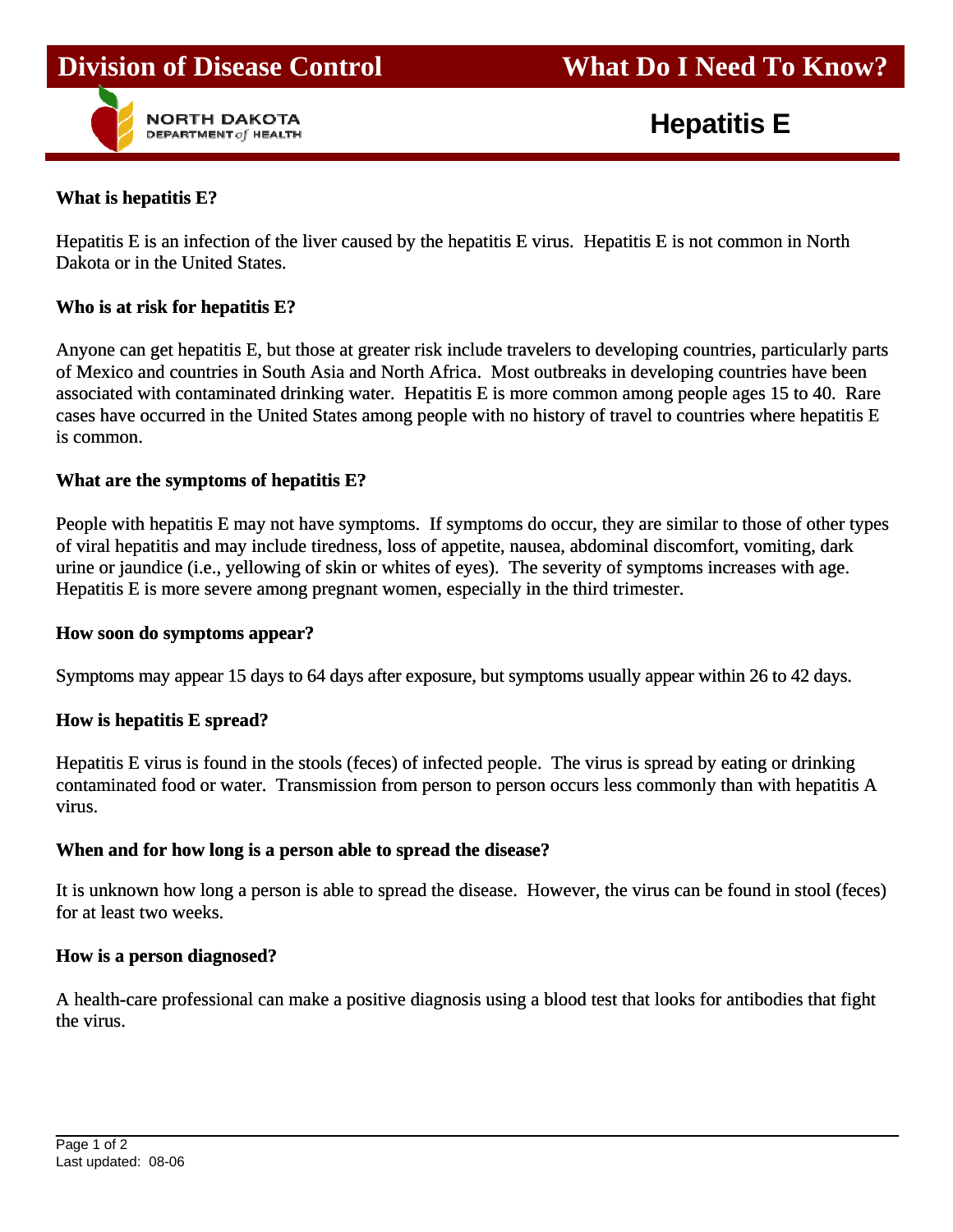

**Hepatitis E**

### **What is hepatitis E?**

j

Hepatitis E is an infection of the liver caused by the hepatitis E virus. Hepatitis E is not common in North Dakota or in the United States.

j

### **Who is at risk for hepatitis E?**

Anyone can get hepatitis E, but those at greater risk include travelers to developing countries, particularly parts of Mexico and countries in South Asia and North Africa. Most outbreaks in developing countries have been associated with contaminated drinking water. Hepatitis E is more common among people ages 15 to 40. Rare cases have occurred in the United States among people with no history of travel to countries where hepatitis E is common.

### **What are the symptoms of hepatitis E?**

People with hepatitis E may not have symptoms. If symptoms do occur, they are similar to those of other types of viral hepatitis and may include tiredness, loss of appetite, nausea, abdominal discomfort, vomiting, dark urine or jaundice (i.e., yellowing of skin or whites of eyes). The severity of symptoms increases with age. Hepatitis E is more severe among pregnant women, especially in the third trimester.

#### **How soon do symptoms appear?**

Symptoms may appear 15 days to 64 days after exposure, but symptoms usually appear within 26 to 42 days.

### **How is hepatitis E spread?**

Hepatitis E virus is found in the stools (feces) of infected people. The virus is spread by eating or drinking contaminated food or water. Transmission from person to person occurs less commonly than with hepatitis A virus.

### **When and for how long is a person able to spread the disease?**

It is unknown how long a person is able to spread the disease. However, the virus can be found in stool (feces) for at least two weeks.

#### **How is a person diagnosed?**

A health-care professional can make a positive diagnosis using a blood test that looks for antibodies that fight the virus.